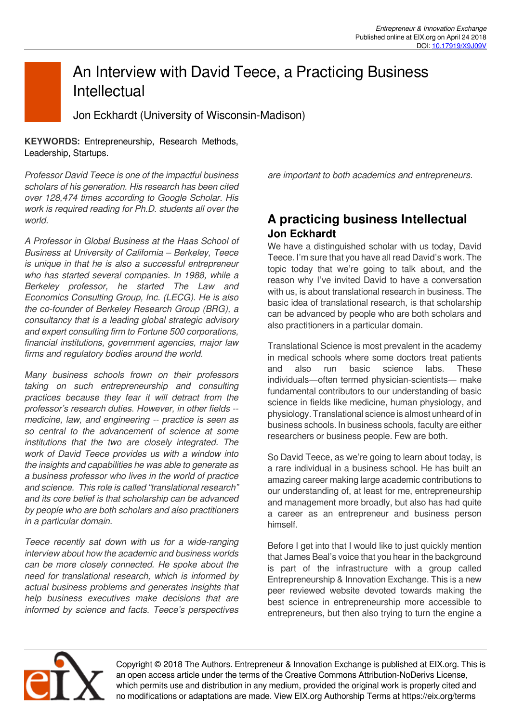# An Interview with David Teece, a Practicing Business **Intellectual**

Jon Eckhardt (University of Wisconsin-Madison)

**KEYWORDS:** Entrepreneurship, Research Methods, Leadership, Startups.

*Professor David Teece is one of the impactful business scholars of his generation. His research has been cited over 128,474 times according to Google Scholar. His work is required reading for Ph.D. students all over the world.* 

*A Professor in Global Business at the Haas School of Business at University of California – Berkeley, Teece is unique in that he is also a successful entrepreneur who has started several companies. In 1988, while a Berkeley professor, he started The Law and Economics Consulting Group, Inc. (LECG). He is also the co-founder of Berkeley Research Group (BRG), a consultancy that is a leading global strategic advisory and expert consulting firm to Fortune 500 corporations, financial institutions, government agencies, major law firms and regulatory bodies around the world.* 

*Many business schools frown on their professors taking on such entrepreneurship and consulting practices because they fear it will detract from the professor's research duties. However, in other fields - medicine, law, and engineering -- practice is seen as so central to the advancement of science at some institutions that the two are closely integrated. The work of David Teece provides us with a window into the insights and capabilities he was able to generate as a business professor who lives in the world of practice and science. This role is called "translational research" and its core belief is that scholarship can be advanced by people who are both scholars and also practitioners in a particular domain.* 

*Teece recently sat down with us for a wide-ranging interview about how the academic and business worlds can be more closely connected. He spoke about the need for translational research, which is informed by actual business problems and generates insights that help business executives make decisions that are informed by science and facts. Teece's perspectives*

*are important to both academics and entrepreneurs.* 

## **A practicing business Intellectual Jon Eckhardt**

We have a distinguished scholar with us today, David Teece. I'm sure that you have all read David's work. The topic today that we're going to talk about, and the reason why I've invited David to have a conversation with us, is about translational research in business. The basic idea of translational research, is that scholarship can be advanced by people who are both scholars and also practitioners in a particular domain.

Translational Science is most prevalent in the academy in medical schools where some doctors treat patients and also run basic science labs. These individuals—often termed physician-scientists— make fundamental contributors to our understanding of basic science in fields like medicine, human physiology, and physiology. Translational science is almost unheard of in business schools. In business schools, faculty are either researchers or business people. Few are both.

So David Teece, as we're going to learn about today, is a rare individual in a business school. He has built an amazing career making large academic contributions to our understanding of, at least for me, entrepreneurship and management more broadly, but also has had quite a career as an entrepreneur and business person himself.

Before I get into that I would like to just quickly mention that James Beal's voice that you hear in the background is part of the infrastructure with a group called Entrepreneurship & Innovation Exchange. This is a new peer reviewed website devoted towards making the best science in entrepreneurship more accessible to entrepreneurs, but then also trying to turn the engine a



Copyright © 2018 The Authors. Entrepreneur & Innovation Exchange is published at EIX.org. This is an open access article under the terms of the Creative Commons Attribution-NoDerivs License, which permits use and distribution in any medium, provided the original work is properly cited and no modifications or adaptations are made. View EIX.org Authorship Terms at https://eix.org/terms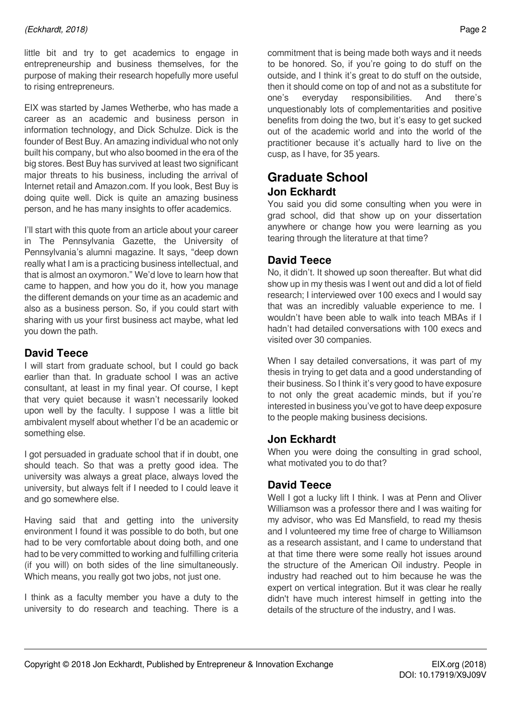little bit and try to get academics to engage in entrepreneurship and business themselves, for the purpose of making their research hopefully more useful to rising entrepreneurs.

EIX was started by James Wetherbe, who has made a career as an academic and business person in information technology, and Dick Schulze. Dick is the founder of Best Buy. An amazing individual who not only built his company, but who also boomed in the era of the big stores. Best Buy has survived at least two significant major threats to his business, including the arrival of Internet retail and Amazon.com. If you look, Best Buy is doing quite well. Dick is quite an amazing business person, and he has many insights to offer academics.

I'll start with this quote from an article about your career in The Pennsylvania Gazette, the University of Pennsylvania's alumni magazine. It says, "deep down really what I am is a practicing business intellectual, and that is almost an oxymoron." We'd love to learn how that came to happen, and how you do it, how you manage the different demands on your time as an academic and also as a business person. So, if you could start with sharing with us your first business act maybe, what led you down the path.

#### **David Teece**

I will start from graduate school, but I could go back earlier than that. In graduate school I was an active consultant, at least in my final year. Of course, I kept that very quiet because it wasn't necessarily looked upon well by the faculty. I suppose I was a little bit ambivalent myself about whether I'd be an academic or something else.

I got persuaded in graduate school that if in doubt, one should teach. So that was a pretty good idea. The university was always a great place, always loved the university, but always felt if I needed to I could leave it and go somewhere else.

Having said that and getting into the university environment I found it was possible to do both, but one had to be very comfortable about doing both, and one had to be very committed to working and fulfilling criteria (if you will) on both sides of the line simultaneously. Which means, you really got two jobs, not just one.

I think as a faculty member you have a duty to the university to do research and teaching. There is a

commitment that is being made both ways and it needs to be honored. So, if you're going to do stuff on the outside, and I think it's great to do stuff on the outside, then it should come on top of and not as a substitute for one's everyday responsibilities. And there's unquestionably lots of complementarities and positive benefits from doing the two, but it's easy to get sucked out of the academic world and into the world of the practitioner because it's actually hard to live on the cusp, as I have, for 35 years.

## **Graduate School Jon Eckhardt**

You said you did some consulting when you were in grad school, did that show up on your dissertation anywhere or change how you were learning as you tearing through the literature at that time?

#### **David Teece**

No, it didn't. It showed up soon thereafter. But what did show up in my thesis was I went out and did a lot of field research; I interviewed over 100 execs and I would say that was an incredibly valuable experience to me. I wouldn't have been able to walk into teach MBAs if I hadn't had detailed conversations with 100 execs and visited over 30 companies.

When I say detailed conversations, it was part of my thesis in trying to get data and a good understanding of their business. So I think it's very good to have exposure to not only the great academic minds, but if you're interested in business you've got to have deep exposure to the people making business decisions.

#### **Jon Eckhardt**

When you were doing the consulting in grad school, what motivated you to do that?

#### **David Teece**

Well I got a lucky lift I think. I was at Penn and Oliver Williamson was a professor there and I was waiting for my advisor, who was Ed Mansfield, to read my thesis and I volunteered my time free of charge to Williamson as a research assistant, and I came to understand that at that time there were some really hot issues around the structure of the American Oil industry. People in industry had reached out to him because he was the expert on vertical integration. But it was clear he really didn't have much interest himself in getting into the details of the structure of the industry, and I was.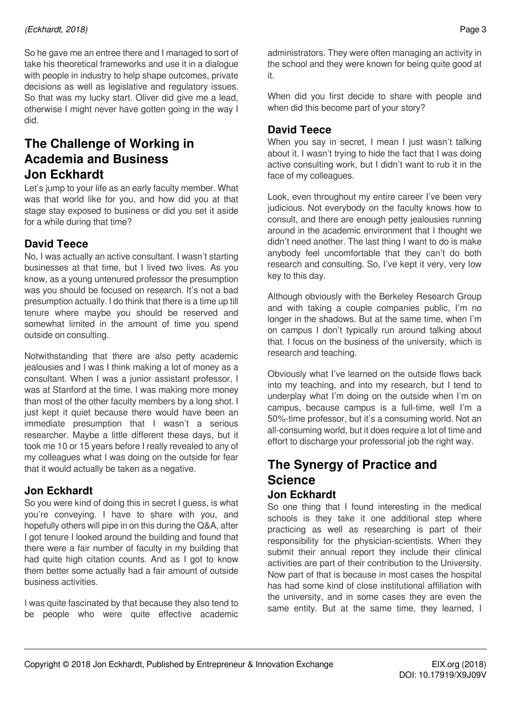So he gave me an entree there and I managed to sort of take his theoretical frameworks and use it in a dialogue with people in industry to help shape outcomes, private decisions as well as legislative and regulatory issues. So that was my lucky start. Oliver did give me a lead, otherwise I might never have gotten going in the way I did.

## **The Challenge of Working in Academia and Business Jon Eckhardt**

Let's jump to your life as an early faculty member. What was that world like for you, and how did you at that stage stay exposed to business or did you set it aside for a while during that time?

### **David Teece**

No, I was actually an active consultant. I wasn't starting businesses at that time, but I lived two lives. As you know, as a young untenured professor the presumption was you should be focused on research. It's not a bad presumption actually. I do think that there is a time up till tenure where maybe you should be reserved and somewhat limited in the amount of time you spend outside on consulting.

Notwithstanding that there are also petty academic jealousies and I was I think making a lot of money as a consultant. When I was a junior assistant professor, I was at Stanford at the time. I was making more money than most of the other faculty members by a long shot. I just kept it quiet because there would have been an immediate presumption that I wasn't a serious researcher. Maybe a little different these days, but it took me 10 or 15 years before I really revealed to any of my colleagues what I was doing on the outside for fear that it would actually be taken as a negative.

### **Jon Eckhardt**

So you were kind of doing this in secret I guess, is what you're conveying. I have to share with you, and hopefully others will pipe in on this during the Q&A, after I got tenure I looked around the building and found that there were a fair number of faculty in my building that had quite high citation counts. And as I got to know them better some actually had a fair amount of outside business activities.

I was quite fascinated by that because they also tend to be people who were quite effective academic administrators. They were often managing an activity in the school and they were known for being quite good at it.

When did you first decide to share with people and when did this become part of your story?

### **David Teece**

When you say in secret, I mean I just wasn't talking about it. I wasn't trying to hide the fact that I was doing active consulting work, but I didn't want to rub it in the face of my colleagues.

Look, even throughout my entire career I've been very judicious. Not everybody on the faculty knows how to consult, and there are enough petty jealousies running around in the academic environment that I thought we didn't need another. The last thing I want to do is make anybody feel uncomfortable that they can't do both research and consulting. So, I've kept it very, very low key to this day.

Although obviously with the Berkeley Research Group and with taking a couple companies public, I'm no longer in the shadows. But at the same time, when I'm on campus I don't typically run around talking about that. I focus on the business of the university, which is research and teaching.

Obviously what I've learned on the outside flows back into my teaching, and into my research, but I tend to underplay what I'm doing on the outside when I'm on campus, because campus is a full-time, well I'm a 50%-time professor, but it's a consuming world. Not an all-consuming world, but it does require a lot of time and effort to discharge your professorial job the right way.

### **The Synergy of Practice and Science Jon Eckhardt**

So one thing that I found interesting in the medical schools is they take it one additional step where practicing as well as researching is part of their responsibility for the physician-scientists. When they submit their annual report they include their clinical activities are part of their contribution to the University. Now part of that is because in most cases the hospital has had some kind of close institutional affiliation with the university, and in some cases they are even the same entity. But at the same time, they learned, I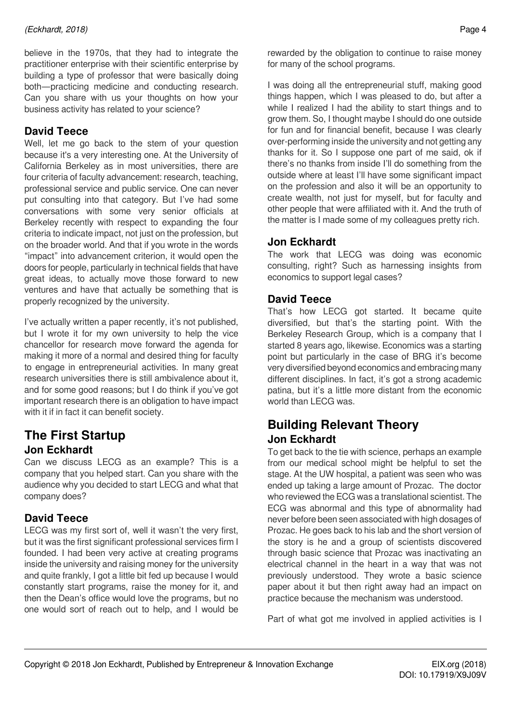believe in the 1970s, that they had to integrate the practitioner enterprise with their scientific enterprise by building a type of professor that were basically doing both—practicing medicine and conducting research. Can you share with us your thoughts on how your business activity has related to your science?

## **David Teece**

Well, let me go back to the stem of your question because it's a very interesting one. At the University of California Berkeley as in most universities, there are four criteria of faculty advancement: research, teaching, professional service and public service. One can never put consulting into that category. But I've had some conversations with some very senior officials at Berkeley recently with respect to expanding the four criteria to indicate impact, not just on the profession, but on the broader world. And that if you wrote in the words "impact" into advancement criterion, it would open the doors for people, particularly in technical fields that have great ideas, to actually move those forward to new ventures and have that actually be something that is properly recognized by the university.

I've actually written a paper recently, it's not published, but I wrote it for my own university to help the vice chancellor for research move forward the agenda for making it more of a normal and desired thing for faculty to engage in entrepreneurial activities. In many great research universities there is still ambivalence about it, and for some good reasons; but I do think if you've got important research there is an obligation to have impact with it if in fact it can benefit society.

## **The First Startup Jon Eckhardt**

Can we discuss LECG as an example? This is a company that you helped start. Can you share with the audience why you decided to start LECG and what that company does?

### **David Teece**

LECG was my first sort of, well it wasn't the very first, but it was the first significant professional services firm I founded. I had been very active at creating programs inside the university and raising money for the university and quite frankly, I got a little bit fed up because I would constantly start programs, raise the money for it, and then the Dean's office would love the programs, but no one would sort of reach out to help, and I would be rewarded by the obligation to continue to raise money for many of the school programs.

I was doing all the entrepreneurial stuff, making good things happen, which I was pleased to do, but after a while I realized I had the ability to start things and to grow them. So, I thought maybe I should do one outside for fun and for financial benefit, because I was clearly over-performing inside the university and not getting any thanks for it. So I suppose one part of me said, ok if there's no thanks from inside I'll do something from the outside where at least I'll have some significant impact on the profession and also it will be an opportunity to create wealth, not just for myself, but for faculty and other people that were affiliated with it. And the truth of the matter is I made some of my colleagues pretty rich.

#### **Jon Eckhardt**

The work that LECG was doing was economic consulting, right? Such as harnessing insights from economics to support legal cases?

#### **David Teece**

That's how LECG got started. It became quite diversified, but that's the starting point. With the Berkeley Research Group, which is a company that I started 8 years ago, likewise. Economics was a starting point but particularly in the case of BRG it's become very diversified beyond economics and embracing many different disciplines. In fact, it's got a strong academic patina, but it's a little more distant from the economic world than LECG was.

## **Building Relevant Theory Jon Eckhardt**

To get back to the tie with science, perhaps an example from our medical school might be helpful to set the stage. At the UW hospital, a patient was seen who was ended up taking a large amount of Prozac. The doctor who reviewed the ECG was a translational scientist. The ECG was abnormal and this type of abnormality had never before been seen associated with high dosages of Prozac. He goes back to his lab and the short version of the story is he and a group of scientists discovered through basic science that Prozac was inactivating an electrical channel in the heart in a way that was not previously understood. They wrote a basic science paper about it but then right away had an impact on practice because the mechanism was understood.

Part of what got me involved in applied activities is I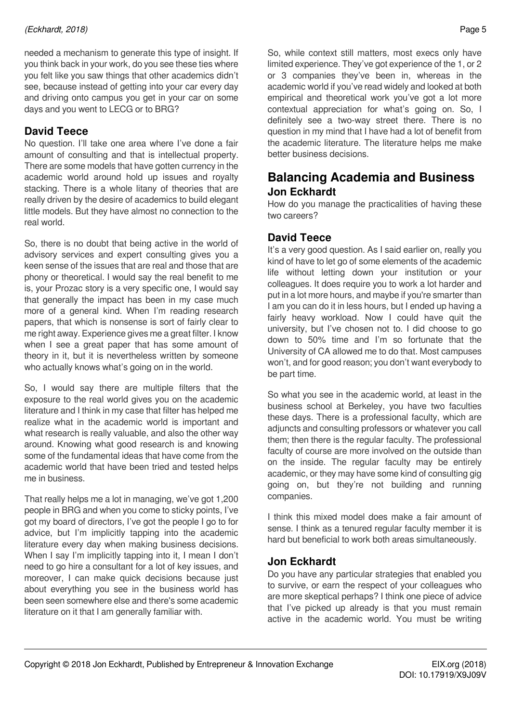needed a mechanism to generate this type of insight. If you think back in your work, do you see these ties where you felt like you saw things that other academics didn't see, because instead of getting into your car every day and driving onto campus you get in your car on some days and you went to LECG or to BRG?

## **David Teece**

No question. I'll take one area where I've done a fair amount of consulting and that is intellectual property. There are some models that have gotten currency in the academic world around hold up issues and royalty stacking. There is a whole litany of theories that are really driven by the desire of academics to build elegant little models. But they have almost no connection to the real world.

So, there is no doubt that being active in the world of advisory services and expert consulting gives you a keen sense of the issues that are real and those that are phony or theoretical. I would say the real benefit to me is, your Prozac story is a very specific one, I would say that generally the impact has been in my case much more of a general kind. When I'm reading research papers, that which is nonsense is sort of fairly clear to me right away. Experience gives me a great filter. I know when I see a great paper that has some amount of theory in it, but it is nevertheless written by someone who actually knows what's going on in the world.

So, I would say there are multiple filters that the exposure to the real world gives you on the academic literature and I think in my case that filter has helped me realize what in the academic world is important and what research is really valuable, and also the other way around. Knowing what good research is and knowing some of the fundamental ideas that have come from the academic world that have been tried and tested helps me in business.

That really helps me a lot in managing, we've got 1,200 people in BRG and when you come to sticky points, I've got my board of directors, I've got the people I go to for advice, but I'm implicitly tapping into the academic literature every day when making business decisions. When I say I'm implicitly tapping into it, I mean I don't need to go hire a consultant for a lot of key issues, and moreover, I can make quick decisions because just about everything you see in the business world has been seen somewhere else and there's some academic literature on it that I am generally familiar with.

academic world if you've read widely and looked at both empirical and theoretical work you've got a lot more contextual appreciation for what's going on. So, I definitely see a two-way street there. There is no question in my mind that I have had a lot of benefit from the academic literature. The literature helps me make better business decisions.

## **Balancing Academia and Business Jon Eckhardt**

How do you manage the practicalities of having these two careers?

### **David Teece**

It's a very good question. As I said earlier on, really you kind of have to let go of some elements of the academic life without letting down your institution or your colleagues. It does require you to work a lot harder and put in a lot more hours, and maybe if you're smarter than I am you can do it in less hours, but I ended up having a fairly heavy workload. Now I could have quit the university, but I've chosen not to. I did choose to go down to 50% time and I'm so fortunate that the University of CA allowed me to do that. Most campuses won't, and for good reason; you don't want everybody to be part time.

So what you see in the academic world, at least in the business school at Berkeley, you have two faculties these days. There is a professional faculty, which are adjuncts and consulting professors or whatever you call them; then there is the regular faculty. The professional faculty of course are more involved on the outside than on the inside. The regular faculty may be entirely academic, or they may have some kind of consulting gig going on, but they're not building and running companies.

I think this mixed model does make a fair amount of sense. I think as a tenured regular faculty member it is hard but beneficial to work both areas simultaneously.

#### **Jon Eckhardt**

Do you have any particular strategies that enabled you to survive, or earn the respect of your colleagues who are more skeptical perhaps? I think one piece of advice that I've picked up already is that you must remain active in the academic world. You must be writing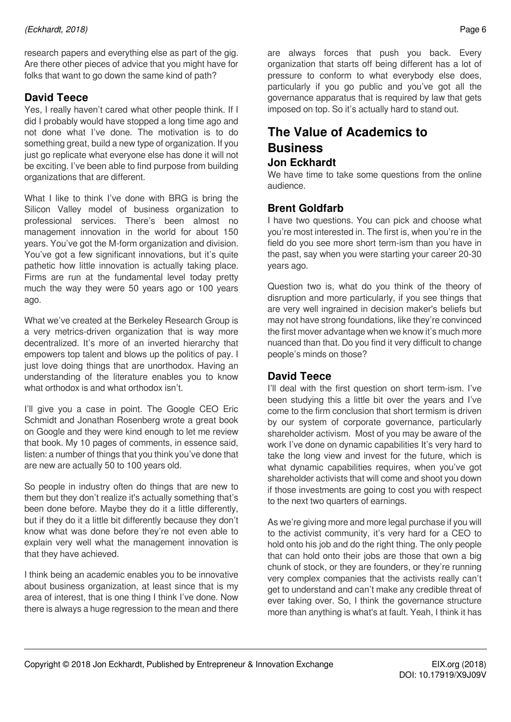research papers and everything else as part of the gig. Are there other pieces of advice that you might have for folks that want to go down the same kind of path?

### **David Teece**

Yes, I really haven't cared what other people think. If I did I probably would have stopped a long time ago and not done what I've done. The motivation is to do something great, build a new type of organization. If you just go replicate what everyone else has done it will not be exciting. I've been able to find purpose from building organizations that are different.

What I like to think I've done with BRG is bring the Silicon Valley model of business organization to professional services. There's been almost no management innovation in the world for about 150 years. You've got the M-form organization and division. You've got a few significant innovations, but it's quite pathetic how little innovation is actually taking place. Firms are run at the fundamental level today pretty much the way they were 50 years ago or 100 years ago.

What we've created at the Berkeley Research Group is a very metrics-driven organization that is way more decentralized. It's more of an inverted hierarchy that empowers top talent and blows up the politics of pay. I just love doing things that are unorthodox. Having an understanding of the literature enables you to know what orthodox is and what orthodox isn't.

I'll give you a case in point. The Google CEO Eric Schmidt and Jonathan Rosenberg wrote a great book on Google and they were kind enough to let me review that book. My 10 pages of comments, in essence said, listen: a number of things that you think you've done that are new are actually 50 to 100 years old.

So people in industry often do things that are new to them but they don't realize it's actually something that's been done before. Maybe they do it a little differently, but if they do it a little bit differently because they don't know what was done before they're not even able to explain very well what the management innovation is that they have achieved.

I think being an academic enables you to be innovative about business organization, at least since that is my area of interest, that is one thing I think I've done. Now there is always a huge regression to the mean and there are always forces that push you back. Every organization that starts off being different has a lot of pressure to conform to what everybody else does, particularly if you go public and you've got all the governance apparatus that is required by law that gets imposed on top. So it's actually hard to stand out.

## **The Value of Academics to Business Jon Eckhardt**

We have time to take some questions from the online audience.

#### **Brent Goldfarb**

I have two questions. You can pick and choose what you're most interested in. The first is, when you're in the field do you see more short term-ism than you have in the past, say when you were starting your career 20-30 years ago.

Question two is, what do you think of the theory of disruption and more particularly, if you see things that are very well ingrained in decision maker's beliefs but may not have strong foundations, like they're convinced the first mover advantage when we know it's much more nuanced than that. Do you find it very difficult to change people's minds on those?

#### **David Teece**

I'll deal with the first question on short term-ism. I've been studying this a little bit over the years and I've come to the firm conclusion that short termism is driven by our system of corporate governance, particularly shareholder activism. Most of you may be aware of the work I've done on dynamic capabilities It's very hard to take the long view and invest for the future, which is what dynamic capabilities requires, when you've got shareholder activists that will come and shoot you down if those investments are going to cost you with respect to the next two quarters of earnings.

As we're giving more and more legal purchase if you will to the activist community, it's very hard for a CEO to hold onto his job and do the right thing. The only people that can hold onto their jobs are those that own a big chunk of stock, or they are founders, or they're running very complex companies that the activists really can't get to understand and can't make any credible threat of ever taking over. So, I think the governance structure more than anything is what's at fault. Yeah, I think it has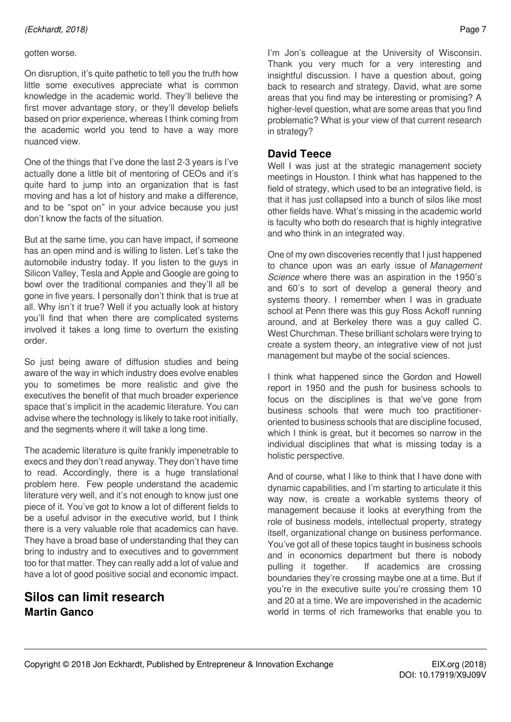#### gotten worse.

On disruption, it's quite pathetic to tell you the truth how little some executives appreciate what is common knowledge in the academic world. They'll believe the first mover advantage story, or they'll develop beliefs based on prior experience, whereas I think coming from the academic world you tend to have a way more nuanced view.

One of the things that I've done the last 2-3 years is I've actually done a little bit of mentoring of CEOs and it's quite hard to jump into an organization that is fast moving and has a lot of history and make a difference, and to be "spot on" in your advice because you just don't know the facts of the situation.

But at the same time, you can have impact, if someone has an open mind and is willing to listen. Let's take the automobile industry today. If you listen to the guys in Silicon Valley, Tesla and Apple and Google are going to bowl over the traditional companies and they'll all be gone in five years. I personally don't think that is true at all. Why isn't it true? Well if you actually look at history you'll find that when there are complicated systems involved it takes a long time to overturn the existing order.

So just being aware of diffusion studies and being aware of the way in which industry does evolve enables you to sometimes be more realistic and give the executives the benefit of that much broader experience space that's implicit in the academic literature. You can advise where the technology is likely to take root initially, and the segments where it will take a long time.

The academic literature is quite frankly impenetrable to execs and they don't read anyway. They don't have time to read. Accordingly, there is a huge translational problem here. Few people understand the academic literature very well, and it's not enough to know just one piece of it. You've got to know a lot of different fields to be a useful advisor in the executive world, but I think there is a very valuable role that academics can have. They have a broad base of understanding that they can bring to industry and to executives and to government too for that matter. They can really add a lot of value and have a lot of good positive social and economic impact.

## **Silos can limit research Martin Ganco**

I'm Jon's colleague at the University of Wisconsin. Thank you very much for a very interesting and insightful discussion. I have a question about, going back to research and strategy. David, what are some areas that you find may be interesting or promising? A higher-level question, what are some areas that you find problematic? What is your view of that current research in strategy?

#### **David Teece**

Well I was just at the strategic management society meetings in Houston. I think what has happened to the field of strategy, which used to be an integrative field, is that it has just collapsed into a bunch of silos like most other fields have. What's missing in the academic world is faculty who both do research that is highly integrative and who think in an integrated way.

One of my own discoveries recently that I just happened to chance upon was an early issue of *Management Science* where there was an aspiration in the 1950's and 60's to sort of develop a general theory and systems theory. I remember when I was in graduate school at Penn there was this guy Ross Ackoff running around, and at Berkeley there was a guy called C. West Churchman. These brilliant scholars were trying to create a system theory, an integrative view of not just management but maybe of the social sciences.

I think what happened since the Gordon and Howell report in 1950 and the push for business schools to focus on the disciplines is that we've gone from business schools that were much too practitioneroriented to business schools that are discipline focused, which I think is great, but it becomes so narrow in the individual disciplines that what is missing today is a holistic perspective.

And of course, what I like to think that I have done with dynamic capabilities, and I'm starting to articulate it this way now, is create a workable systems theory of management because it looks at everything from the role of business models, intellectual property, strategy itself, organizational change on business performance. You've got all of these topics taught in business schools and in economics department but there is nobody pulling it together. If academics are crossing boundaries they're crossing maybe one at a time. But if you're in the executive suite you're crossing them 10 and 20 at a time. We are impoverished in the academic world in terms of rich frameworks that enable you to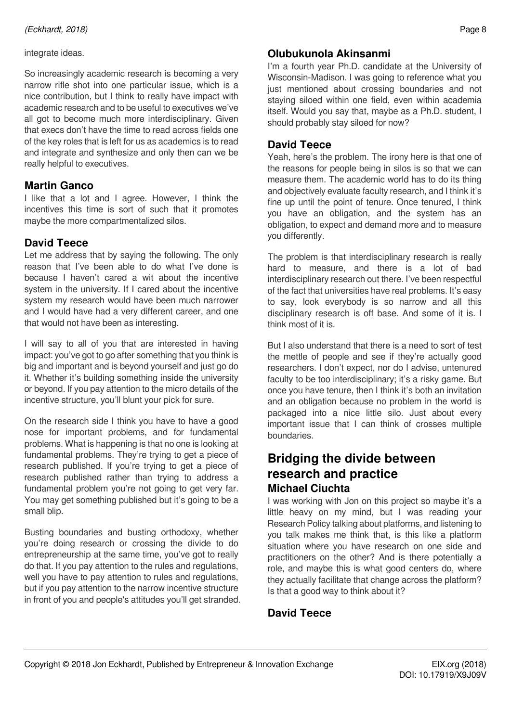#### integrate ideas.

So increasingly academic research is becoming a very narrow rifle shot into one particular issue, which is a nice contribution, but I think to really have impact with academic research and to be useful to executives we've all got to become much more interdisciplinary. Given that execs don't have the time to read across fields one of the key roles that is left for us as academics is to read and integrate and synthesize and only then can we be really helpful to executives.

#### **Martin Ganco**

I like that a lot and I agree. However, I think the incentives this time is sort of such that it promotes maybe the more compartmentalized silos.

### **David Teece**

Let me address that by saying the following. The only reason that I've been able to do what I've done is because I haven't cared a wit about the incentive system in the university. If I cared about the incentive system my research would have been much narrower and I would have had a very different career, and one that would not have been as interesting.

I will say to all of you that are interested in having impact: you've got to go after something that you think is big and important and is beyond yourself and just go do it. Whether it's building something inside the university or beyond. If you pay attention to the micro details of the incentive structure, you'll blunt your pick for sure.

On the research side I think you have to have a good nose for important problems, and for fundamental problems. What is happening is that no one is looking at fundamental problems. They're trying to get a piece of research published. If you're trying to get a piece of research published rather than trying to address a fundamental problem you're not going to get very far. You may get something published but it's going to be a small blip.

Busting boundaries and busting orthodoxy, whether you're doing research or crossing the divide to do entrepreneurship at the same time, you've got to really do that. If you pay attention to the rules and regulations, well you have to pay attention to rules and regulations, but if you pay attention to the narrow incentive structure in front of you and people's attitudes you'll get stranded.

## **Olubukunola Akinsanmi**

I'm a fourth year Ph.D. candidate at the University of Wisconsin-Madison. I was going to reference what you just mentioned about crossing boundaries and not staying siloed within one field, even within academia itself. Would you say that, maybe as a Ph.D. student, I should probably stay siloed for now?

#### **David Teece**

Yeah, here's the problem. The irony here is that one of the reasons for people being in silos is so that we can measure them. The academic world has to do its thing and objectively evaluate faculty research, and I think it's fine up until the point of tenure. Once tenured, I think you have an obligation, and the system has an obligation, to expect and demand more and to measure you differently.

The problem is that interdisciplinary research is really hard to measure, and there is a lot of bad interdisciplinary research out there. I've been respectful of the fact that universities have real problems. It's easy to say, look everybody is so narrow and all this disciplinary research is off base. And some of it is. I think most of it is.

But I also understand that there is a need to sort of test the mettle of people and see if they're actually good researchers. I don't expect, nor do I advise, untenured faculty to be too interdisciplinary; it's a risky game. But once you have tenure, then I think it's both an invitation and an obligation because no problem in the world is packaged into a nice little silo. Just about every important issue that I can think of crosses multiple boundaries.

## **Bridging the divide between research and practice Michael Ciuchta**

I was working with Jon on this project so maybe it's a little heavy on my mind, but I was reading your Research Policy talking about platforms, and listening to you talk makes me think that, is this like a platform situation where you have research on one side and practitioners on the other? And is there potentially a role, and maybe this is what good centers do, where they actually facilitate that change across the platform? Is that a good way to think about it?

## **David Teece**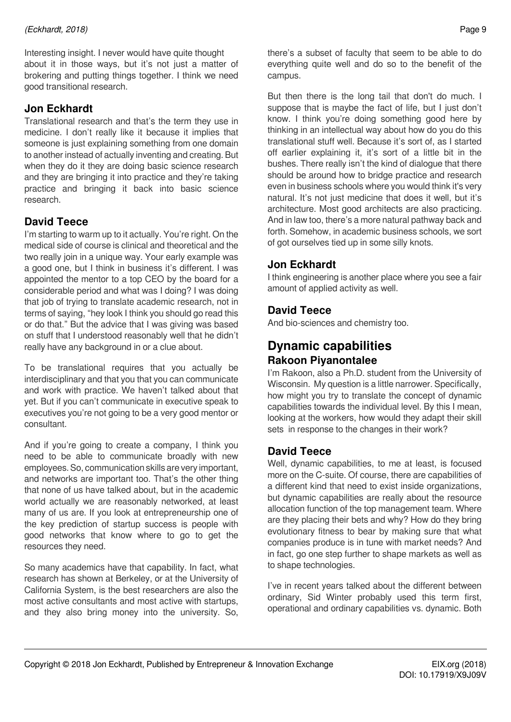Interesting insight. I never would have quite thought about it in those ways, but it's not just a matter of brokering and putting things together. I think we need good transitional research.

#### **Jon Eckhardt**

Translational research and that's the term they use in medicine. I don't really like it because it implies that someone is just explaining something from one domain to another instead of actually inventing and creating. But when they do it they are doing basic science research and they are bringing it into practice and they're taking practice and bringing it back into basic science research.

### **David Teece**

I'm starting to warm up to it actually. You're right. On the medical side of course is clinical and theoretical and the two really join in a unique way. Your early example was a good one, but I think in business it's different. I was appointed the mentor to a top CEO by the board for a considerable period and what was I doing? I was doing that job of trying to translate academic research, not in terms of saying, "hey look I think you should go read this or do that." But the advice that I was giving was based on stuff that I understood reasonably well that he didn't really have any background in or a clue about.

To be translational requires that you actually be interdisciplinary and that you that you can communicate and work with practice. We haven't talked about that yet. But if you can't communicate in executive speak to executives you're not going to be a very good mentor or consultant.

And if you're going to create a company, I think you need to be able to communicate broadly with new employees. So, communication skills are very important, and networks are important too. That's the other thing that none of us have talked about, but in the academic world actually we are reasonably networked, at least many of us are. If you look at entrepreneurship one of the key prediction of startup success is people with good networks that know where to go to get the resources they need.

So many academics have that capability. In fact, what research has shown at Berkeley, or at the University of California System, is the best researchers are also the most active consultants and most active with startups, and they also bring money into the university. So, there's a subset of faculty that seem to be able to do everything quite well and do so to the benefit of the campus.

But then there is the long tail that don't do much. I suppose that is maybe the fact of life, but I just don't know. I think you're doing something good here by thinking in an intellectual way about how do you do this translational stuff well. Because it's sort of, as I started off earlier explaining it, it's sort of a little bit in the bushes. There really isn't the kind of dialogue that there should be around how to bridge practice and research even in business schools where you would think it's very natural. It's not just medicine that does it well, but it's architecture. Most good architects are also practicing. And in law too, there's a more natural pathway back and forth. Somehow, in academic business schools, we sort of got ourselves tied up in some silly knots.

#### **Jon Eckhardt**

I think engineering is another place where you see a fair amount of applied activity as well.

#### **David Teece**

And bio-sciences and chemistry too.

## **Dynamic capabilities Rakoon Piyanontalee**

I'm Rakoon, also a Ph.D. student from the University of Wisconsin. My question is a little narrower. Specifically, how might you try to translate the concept of dynamic capabilities towards the individual level. By this I mean, looking at the workers, how would they adapt their skill sets in response to the changes in their work?

#### **David Teece**

Well, dynamic capabilities, to me at least, is focused more on the C-suite. Of course, there are capabilities of a different kind that need to exist inside organizations, but dynamic capabilities are really about the resource allocation function of the top management team. Where are they placing their bets and why? How do they bring evolutionary fitness to bear by making sure that what companies produce is in tune with market needs? And in fact, go one step further to shape markets as well as to shape technologies.

I've in recent years talked about the different between ordinary, Sid Winter probably used this term first, operational and ordinary capabilities vs. dynamic. Both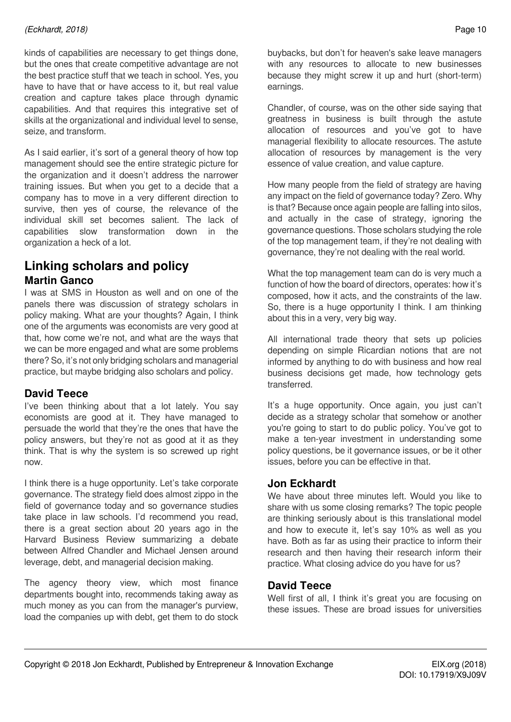kinds of capabilities are necessary to get things done, but the ones that create competitive advantage are not the best practice stuff that we teach in school. Yes, you have to have that or have access to it, but real value creation and capture takes place through dynamic capabilities. And that requires this integrative set of skills at the organizational and individual level to sense, seize, and transform.

As I said earlier, it's sort of a general theory of how top management should see the entire strategic picture for the organization and it doesn't address the narrower training issues. But when you get to a decide that a company has to move in a very different direction to survive, then yes of course, the relevance of the individual skill set becomes salient. The lack of capabilities slow transformation down in the organization a heck of a lot.

## **Linking scholars and policy Martin Ganco**

I was at SMS in Houston as well and on one of the panels there was discussion of strategy scholars in policy making. What are your thoughts? Again, I think one of the arguments was economists are very good at that, how come we're not, and what are the ways that we can be more engaged and what are some problems there? So, it's not only bridging scholars and managerial practice, but maybe bridging also scholars and policy.

#### **David Teece**

I've been thinking about that a lot lately. You say economists are good at it. They have managed to persuade the world that they're the ones that have the policy answers, but they're not as good at it as they think. That is why the system is so screwed up right now.

I think there is a huge opportunity. Let's take corporate governance. The strategy field does almost zippo in the field of governance today and so governance studies take place in law schools. I'd recommend you read, there is a great section about 20 years ago in the Harvard Business Review summarizing a debate between Alfred Chandler and Michael Jensen around leverage, debt, and managerial decision making.

The agency theory view, which most finance departments bought into, recommends taking away as much money as you can from the manager's purview, load the companies up with debt, get them to do stock buybacks, but don't for heaven's sake leave managers with any resources to allocate to new businesses because they might screw it up and hurt (short-term) earnings.

Chandler, of course, was on the other side saying that greatness in business is built through the astute allocation of resources and you've got to have managerial flexibility to allocate resources. The astute allocation of resources by management is the very essence of value creation, and value capture.

How many people from the field of strategy are having any impact on the field of governance today? Zero. Why is that? Because once again people are falling into silos, and actually in the case of strategy, ignoring the governance questions. Those scholars studying the role of the top management team, if they're not dealing with governance, they're not dealing with the real world.

What the top management team can do is very much a function of how the board of directors, operates: how it's composed, how it acts, and the constraints of the law. So, there is a huge opportunity I think. I am thinking about this in a very, very big way.

All international trade theory that sets up policies depending on simple Ricardian notions that are not informed by anything to do with business and how real business decisions get made, how technology gets transferred.

It's a huge opportunity. Once again, you just can't decide as a strategy scholar that somehow or another you're going to start to do public policy. You've got to make a ten-year investment in understanding some policy questions, be it governance issues, or be it other issues, before you can be effective in that.

#### **Jon Eckhardt**

We have about three minutes left. Would you like to share with us some closing remarks? The topic people are thinking seriously about is this translational model and how to execute it, let's say 10% as well as you have. Both as far as using their practice to inform their research and then having their research inform their practice. What closing advice do you have for us?

#### **David Teece**

Well first of all, I think it's great you are focusing on these issues. These are broad issues for universities